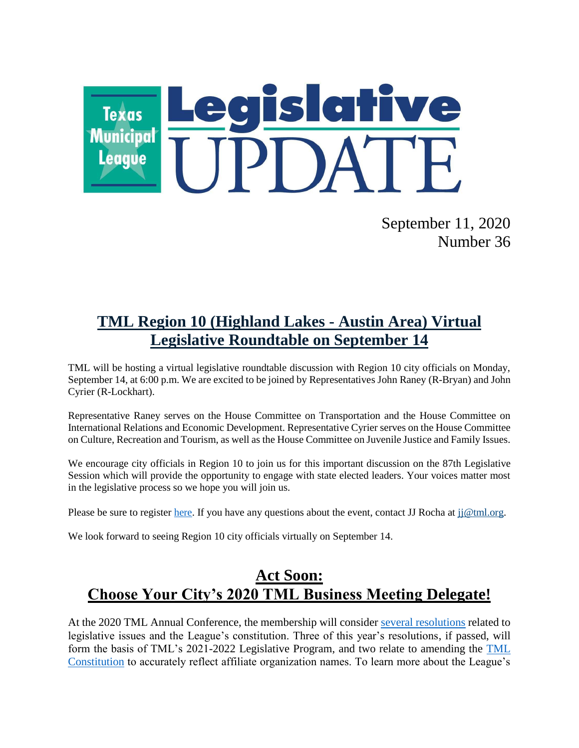

September 11, 2020 Number 36

# **TML Region 10 (Highland Lakes - Austin Area) Virtual Legislative Roundtable on September 14**

TML will be hosting a virtual legislative roundtable discussion with Region 10 city officials on Monday, September 14, at 6:00 p.m. We are excited to be joined by Representatives John Raney (R-Bryan) and John Cyrier (R-Lockhart).

Representative Raney serves on the House Committee on Transportation and the House Committee on International Relations and Economic Development. Representative Cyrier serves on the House Committee on Culture, Recreation and Tourism, as well as the House Committee on Juvenile Justice and Family Issues.

We encourage city officials in Region 10 to join us for this important discussion on the 87th Legislative Session which will provide the opportunity to engage with state elected leaders. Your voices matter most in the legislative process so we hope you will join us.

Please be sure to register [here.](https://zoom.us/meeting/register/tJIkcOiprjwqHdKGbT61cb0AW3xGcZ26xuA5) If you have any questions about the event, contact JJ Rocha at [jj@tml.org.](mailto:jj@tml.org)

We look forward to seeing Region 10 city officials virtually on September 14.

## **Act Soon: Choose Your City's 2020 TML Business Meeting Delegate!**

At the 2020 TML Annual Conference, the membership will consider [several resolutions](https://www.tml.org/DocumentCenter/View/2151/2020-Resolutions-Submitted-to-Membership) related to legislative issues and the League's constitution. Three of this year's resolutions, if passed, will form the basis of TML's 2021-2022 Legislative Program, and two relate to amending the [TML](https://www.tml.org/257/TML-Constitution)  [Constitution](https://www.tml.org/257/TML-Constitution) to accurately reflect affiliate organization names. To learn more about the League's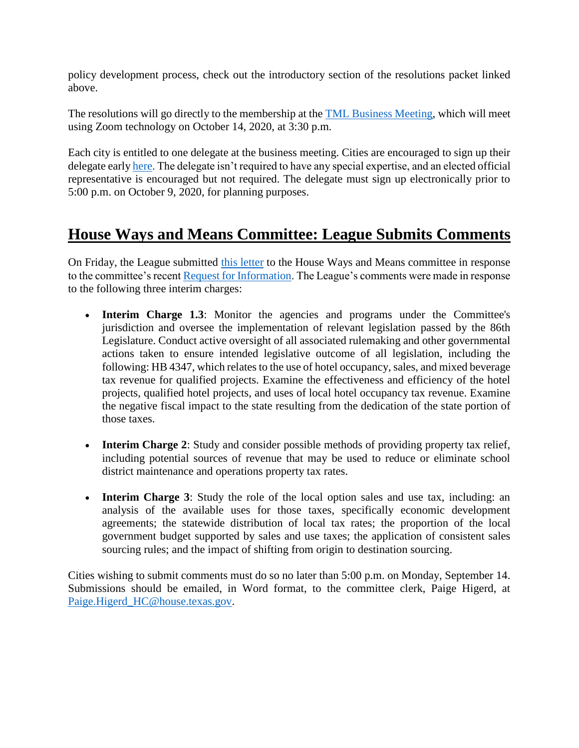policy development process, check out the introductory section of the resolutions packet linked above.

The resolutions will go directly to the membership at the **TML** Business Meeting, which will meet using Zoom technology on October 14, 2020, at 3:30 p.m.

Each city is entitled to one delegate at the business meeting. Cities are encouraged to sign up their delegate earl[y here.](https://www.tml.org/FormCenter/Member-Resources-5/2020-TML-Business-Meeting-67) The delegate isn't required to have any special expertise, and an elected official representative is encouraged but not required. The delegate must sign up electronically prior to 5:00 p.m. on October 9, 2020, for planning purposes.

## **House Ways and Means Committee: League Submits Comments**

On Friday, the League submitted [this letter](https://www.tml.org/DocumentCenter/View/2168/WM-comments-91120) to the House Ways and Means committee in response to the committee's recent [Request for Information.](https://capitol.texas.gov/tlodocs/86R/schedules/pdf/C4902020072900001.pdf) The League's comments were made in response to the following three interim charges:

- **Interim Charge 1.3**: Monitor the agencies and programs under the Committee's jurisdiction and oversee the implementation of relevant legislation passed by the 86th Legislature. Conduct active oversight of all associated rulemaking and other governmental actions taken to ensure intended legislative outcome of all legislation, including the following: HB 4347, which relates to the use of hotel occupancy, sales, and mixed beverage tax revenue for qualified projects. Examine the effectiveness and efficiency of the hotel projects, qualified hotel projects, and uses of local hotel occupancy tax revenue. Examine the negative fiscal impact to the state resulting from the dedication of the state portion of those taxes.
- **Interim Charge 2**: Study and consider possible methods of providing property tax relief, including potential sources of revenue that may be used to reduce or eliminate school district maintenance and operations property tax rates.
- **Interim Charge 3**: Study the role of the local option sales and use tax, including: an analysis of the available uses for those taxes, specifically economic development agreements; the statewide distribution of local tax rates; the proportion of the local government budget supported by sales and use taxes; the application of consistent sales sourcing rules; and the impact of shifting from origin to destination sourcing.

Cities wishing to submit comments must do so no later than 5:00 p.m. on Monday, September 14. Submissions should be emailed, in Word format, to the committee clerk, Paige Higerd, at [Paige.Higerd\\_HC@house.texas.gov.](mailto:Paige.Higerd_HC@house.texas.gov)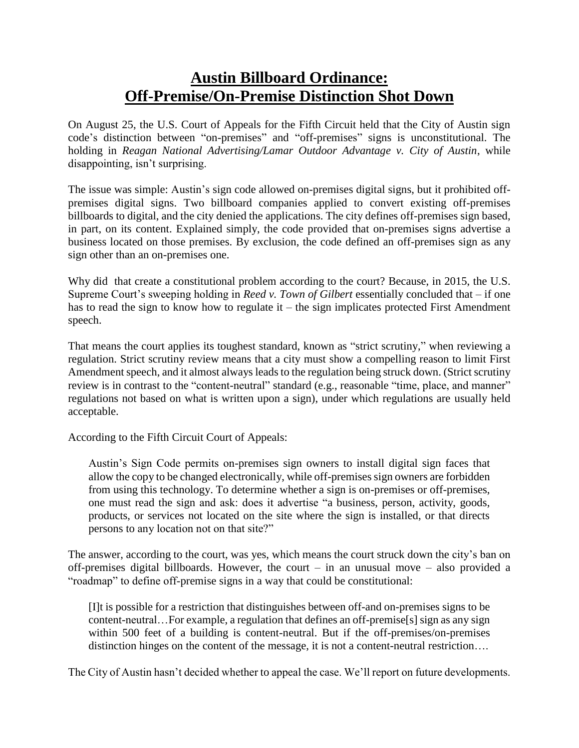## **Austin Billboard Ordinance: Off-Premise/On-Premise Distinction Shot Down**

On August 25, the U.S. Court of Appeals for the Fifth Circuit held that the City of Austin sign code's distinction between "on-premises" and "off-premises" signs is unconstitutional. The holding in *Reagan National Advertising/Lamar Outdoor Advantage v. City of Austin*, while disappointing, isn't surprising.

The issue was simple: Austin's sign code allowed on-premises digital signs, but it prohibited offpremises digital signs. Two billboard companies applied to convert existing off-premises billboards to digital, and the city denied the applications. The city defines off-premises sign based, in part, on its content. Explained simply, the code provided that on-premises signs advertise a business located on those premises. By exclusion, the code defined an off-premises sign as any sign other than an on-premises one.

Why did that create a constitutional problem according to the court? Because, in 2015, the U.S. Supreme Court's sweeping holding in *Reed v. Town of Gilbert* essentially concluded that – if one has to read the sign to know how to regulate it – the sign implicates protected First Amendment speech.

That means the court applies its toughest standard, known as "strict scrutiny," when reviewing a regulation. Strict scrutiny review means that a city must show a compelling reason to limit First Amendment speech, and it almost always leads to the regulation being struck down. (Strict scrutiny review is in contrast to the "content-neutral" standard (e.g., reasonable "time, place, and manner" regulations not based on what is written upon a sign), under which regulations are usually held acceptable.

According to the Fifth Circuit Court of Appeals:

Austin's Sign Code permits on-premises sign owners to install digital sign faces that allow the copy to be changed electronically, while off-premises sign owners are forbidden from using this technology. To determine whether a sign is on-premises or off-premises, one must read the sign and ask: does it advertise "a business, person, activity, goods, products, or services not located on the site where the sign is installed, or that directs persons to any location not on that site?"

The answer, according to the court, was yes, which means the court struck down the city's ban on off-premises digital billboards. However, the court – in an unusual move – also provided a "roadmap" to define off-premise signs in a way that could be constitutional:

[I]t is possible for a restriction that distinguishes between off-and on-premises signs to be content-neutral…For example, a regulation that defines an off-premise[s] sign as any sign within 500 feet of a building is content-neutral. But if the off-premises/on-premises distinction hinges on the content of the message, it is not a content-neutral restriction….

The City of Austin hasn't decided whether to appeal the case. We'll report on future developments.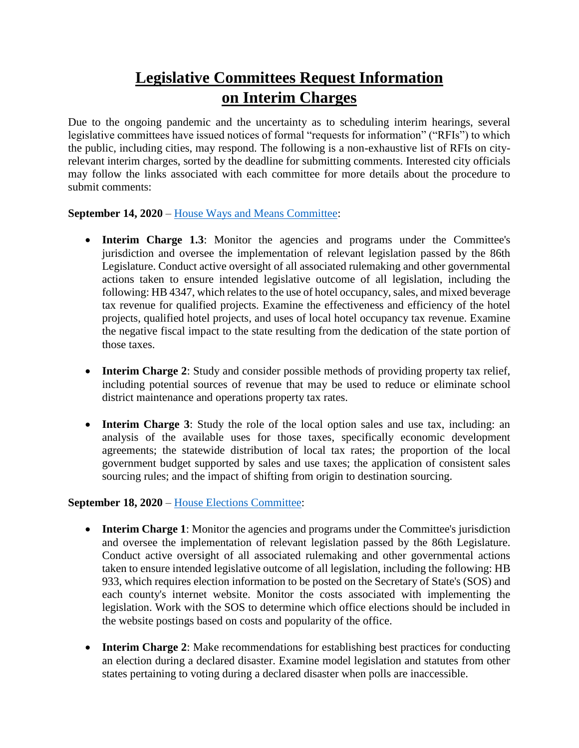# **Legislative Committees Request Information on Interim Charges**

Due to the ongoing pandemic and the uncertainty as to scheduling interim hearings, several legislative committees have issued notices of formal "requests for information" ("RFIs") to which the public, including cities, may respond. The following is a non-exhaustive list of RFIs on cityrelevant interim charges, sorted by the deadline for submitting comments. Interested city officials may follow the links associated with each committee for more details about the procedure to submit comments:

### **September 14, 2020** – [House Ways and Means Committee:](https://capitol.texas.gov/tlodocs/86R/schedules/pdf/C4902020072900001.pdf)

- **Interim Charge 1.3**: Monitor the agencies and programs under the Committee's jurisdiction and oversee the implementation of relevant legislation passed by the 86th Legislature. Conduct active oversight of all associated rulemaking and other governmental actions taken to ensure intended legislative outcome of all legislation, including the following: HB 4347, which relates to the use of hotel occupancy, sales, and mixed beverage tax revenue for qualified projects. Examine the effectiveness and efficiency of the hotel projects, qualified hotel projects, and uses of local hotel occupancy tax revenue. Examine the negative fiscal impact to the state resulting from the dedication of the state portion of those taxes.
- **Interim Charge 2**: Study and consider possible methods of providing property tax relief, including potential sources of revenue that may be used to reduce or eliminate school district maintenance and operations property tax rates.
- **Interim Charge 3**: Study the role of the local option sales and use tax, including: an analysis of the available uses for those taxes, specifically economic development agreements; the statewide distribution of local tax rates; the proportion of the local government budget supported by sales and use taxes; the application of consistent sales sourcing rules; and the impact of shifting from origin to destination sourcing.

### **September 18, 2020** – [House Elections Committee:](https://capitol.texas.gov/tlodocs/86R/schedules/pdf/C2402020080700001.pdf)

- **Interim Charge 1**: Monitor the agencies and programs under the Committee's jurisdiction and oversee the implementation of relevant legislation passed by the 86th Legislature. Conduct active oversight of all associated rulemaking and other governmental actions taken to ensure intended legislative outcome of all legislation, including the following: HB 933, which requires election information to be posted on the Secretary of State's (SOS) and each county's internet website. Monitor the costs associated with implementing the legislation. Work with the SOS to determine which office elections should be included in the website postings based on costs and popularity of the office.
- **Interim Charge 2**: Make recommendations for establishing best practices for conducting an election during a declared disaster. Examine model legislation and statutes from other states pertaining to voting during a declared disaster when polls are inaccessible.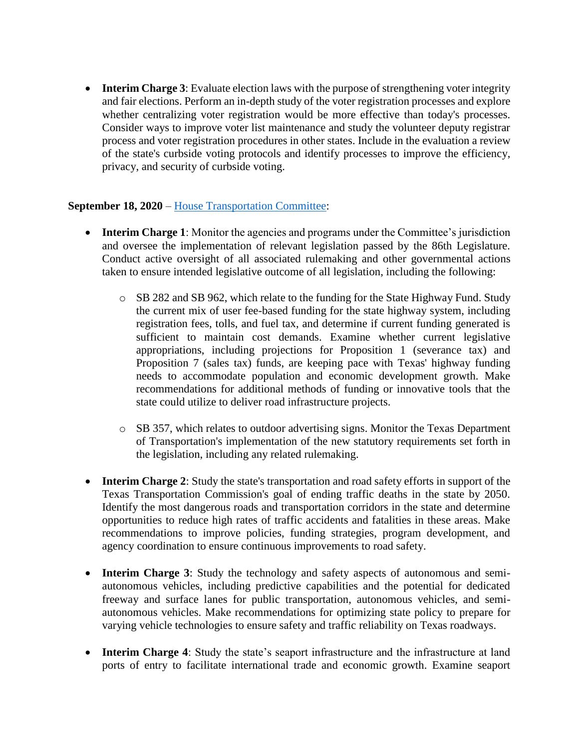• **Interim Charge 3**: Evaluate election laws with the purpose of strengthening voter integrity and fair elections. Perform an in-depth study of the voter registration processes and explore whether centralizing voter registration would be more effective than today's processes. Consider ways to improve voter list maintenance and study the volunteer deputy registrar process and voter registration procedures in other states. Include in the evaluation a review of the state's curbside voting protocols and identify processes to improve the efficiency, privacy, and security of curbside voting.

#### **September 18, 2020** – [House Transportation Committee:](https://capitol.texas.gov/tlodocs/86R/schedules/pdf/C4702020081700001.pdf)

- **Interim Charge 1**: Monitor the agencies and programs under the Committee's jurisdiction and oversee the implementation of relevant legislation passed by the 86th Legislature. Conduct active oversight of all associated rulemaking and other governmental actions taken to ensure intended legislative outcome of all legislation, including the following:
	- o SB 282 and SB 962, which relate to the funding for the State Highway Fund. Study the current mix of user fee-based funding for the state highway system, including registration fees, tolls, and fuel tax, and determine if current funding generated is sufficient to maintain cost demands. Examine whether current legislative appropriations, including projections for Proposition 1 (severance tax) and Proposition 7 (sales tax) funds, are keeping pace with Texas' highway funding needs to accommodate population and economic development growth. Make recommendations for additional methods of funding or innovative tools that the state could utilize to deliver road infrastructure projects.
	- o SB 357, which relates to outdoor advertising signs. Monitor the Texas Department of Transportation's implementation of the new statutory requirements set forth in the legislation, including any related rulemaking.
- **Interim Charge 2:** Study the state's transportation and road safety efforts in support of the Texas Transportation Commission's goal of ending traffic deaths in the state by 2050. Identify the most dangerous roads and transportation corridors in the state and determine opportunities to reduce high rates of traffic accidents and fatalities in these areas. Make recommendations to improve policies, funding strategies, program development, and agency coordination to ensure continuous improvements to road safety.
- **Interim Charge 3**: Study the technology and safety aspects of autonomous and semiautonomous vehicles, including predictive capabilities and the potential for dedicated freeway and surface lanes for public transportation, autonomous vehicles, and semiautonomous vehicles. Make recommendations for optimizing state policy to prepare for varying vehicle technologies to ensure safety and traffic reliability on Texas roadways.
- **Interim Charge 4**: Study the state's seaport infrastructure and the infrastructure at land ports of entry to facilitate international trade and economic growth. Examine seaport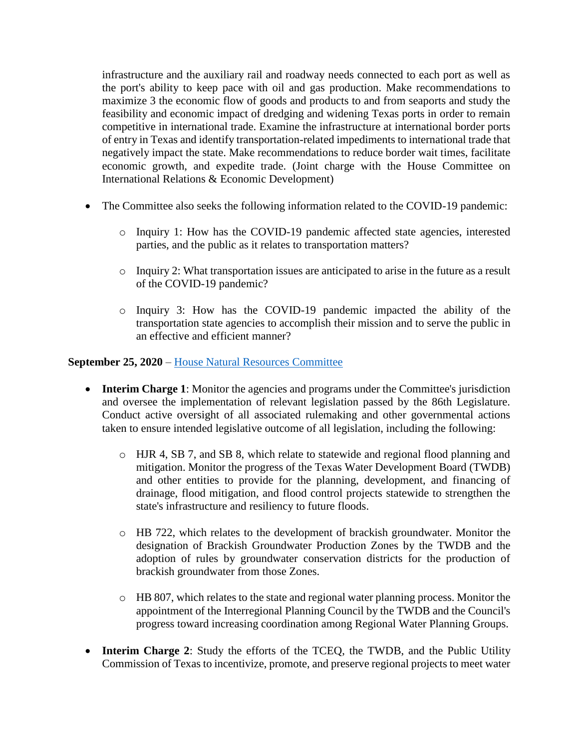infrastructure and the auxiliary rail and roadway needs connected to each port as well as the port's ability to keep pace with oil and gas production. Make recommendations to maximize 3 the economic flow of goods and products to and from seaports and study the feasibility and economic impact of dredging and widening Texas ports in order to remain competitive in international trade. Examine the infrastructure at international border ports of entry in Texas and identify transportation-related impediments to international trade that negatively impact the state. Make recommendations to reduce border wait times, facilitate economic growth, and expedite trade. (Joint charge with the House Committee on International Relations & Economic Development)

- The Committee also seeks the following information related to the COVID-19 pandemic:
	- o Inquiry 1: How has the COVID-19 pandemic affected state agencies, interested parties, and the public as it relates to transportation matters?
	- $\circ$  Inquiry 2: What transportation issues are anticipated to arise in the future as a result of the COVID-19 pandemic?
	- o Inquiry 3: How has the COVID-19 pandemic impacted the ability of the transportation state agencies to accomplish their mission and to serve the public in an effective and efficient manner?

#### **September 25, 2020** – [House Natural Resources Committee](https://capitol.texas.gov/tlodocs/86R/schedules/pdf/C3902020080100001.pdf)

- **Interim Charge 1**: Monitor the agencies and programs under the Committee's jurisdiction and oversee the implementation of relevant legislation passed by the 86th Legislature. Conduct active oversight of all associated rulemaking and other governmental actions taken to ensure intended legislative outcome of all legislation, including the following:
	- o HJR 4, SB 7, and SB 8, which relate to statewide and regional flood planning and mitigation. Monitor the progress of the Texas Water Development Board (TWDB) and other entities to provide for the planning, development, and financing of drainage, flood mitigation, and flood control projects statewide to strengthen the state's infrastructure and resiliency to future floods.
	- o HB 722, which relates to the development of brackish groundwater. Monitor the designation of Brackish Groundwater Production Zones by the TWDB and the adoption of rules by groundwater conservation districts for the production of brackish groundwater from those Zones.
	- o HB 807, which relates to the state and regional water planning process. Monitor the appointment of the Interregional Planning Council by the TWDB and the Council's progress toward increasing coordination among Regional Water Planning Groups.
- **Interim Charge 2**: Study the efforts of the TCEQ, the TWDB, and the Public Utility Commission of Texas to incentivize, promote, and preserve regional projects to meet water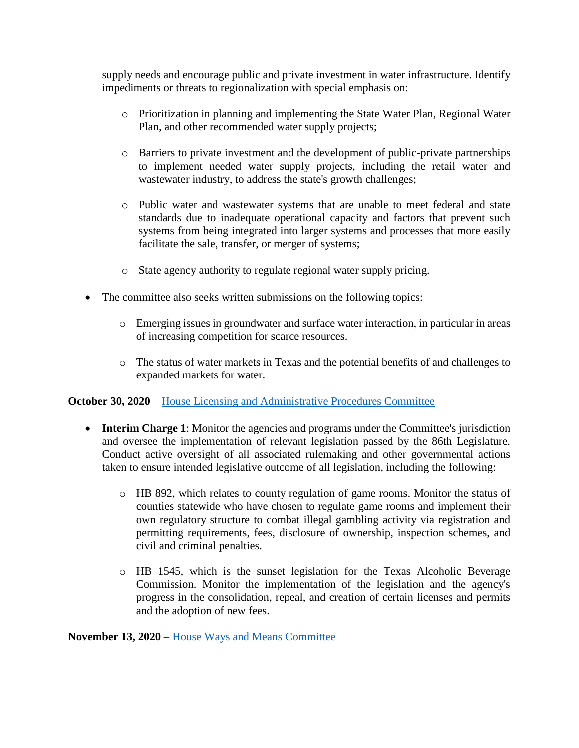supply needs and encourage public and private investment in water infrastructure. Identify impediments or threats to regionalization with special emphasis on:

- o Prioritization in planning and implementing the State Water Plan, Regional Water Plan, and other recommended water supply projects;
- o Barriers to private investment and the development of public-private partnerships to implement needed water supply projects, including the retail water and wastewater industry, to address the state's growth challenges;
- o Public water and wastewater systems that are unable to meet federal and state standards due to inadequate operational capacity and factors that prevent such systems from being integrated into larger systems and processes that more easily facilitate the sale, transfer, or merger of systems;
- o State agency authority to regulate regional water supply pricing.
- The committee also seeks written submissions on the following topics:
	- o Emerging issues in groundwater and surface water interaction, in particular in areas of increasing competition for scarce resources.
	- o The status of water markets in Texas and the potential benefits of and challenges to expanded markets for water.

#### **October 30, 2020** – [House Licensing and Administrative Procedures Committee](https://capitol.texas.gov/tlodocs/86R/schedules/pdf/C3502020081100001.pdf)

- **Interim Charge 1**: Monitor the agencies and programs under the Committee's jurisdiction and oversee the implementation of relevant legislation passed by the 86th Legislature. Conduct active oversight of all associated rulemaking and other governmental actions taken to ensure intended legislative outcome of all legislation, including the following:
	- o HB 892, which relates to county regulation of game rooms. Monitor the status of counties statewide who have chosen to regulate game rooms and implement their own regulatory structure to combat illegal gambling activity via registration and permitting requirements, fees, disclosure of ownership, inspection schemes, and civil and criminal penalties.
	- o HB 1545, which is the sunset legislation for the Texas Alcoholic Beverage Commission. Monitor the implementation of the legislation and the agency's progress in the consolidation, repeal, and creation of certain licenses and permits and the adoption of new fees.

**November 13, 2020** – [House Ways and Means Committee](https://capitol.texas.gov/tlodocs/86R/schedules/pdf/C4902020072900002.pdf)